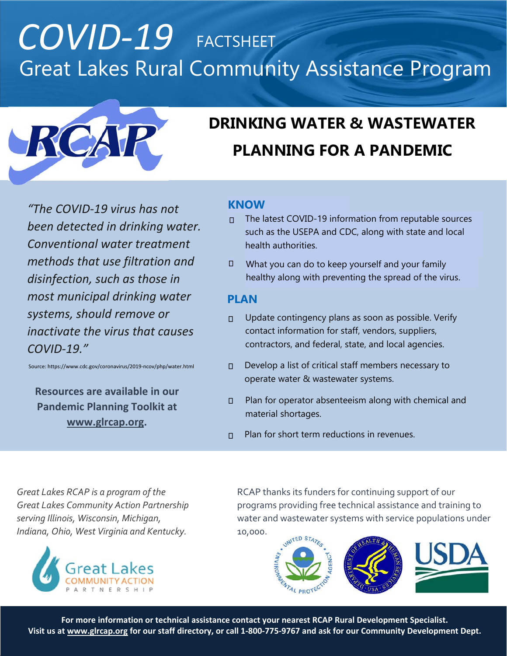## *COVID‐19* FACTSHEET Great Lakes Rural Community Assistance Program



## **DRINKING WATER & WASTEWATER PLANNING FOR A PANDEMIC**

*"The COVID‐19 virus has not been detected in drinking water. Conventional water treatment methods that use filtration and disinfection, such as those in most municipal drinking water systems, should remove or inactivate the virus that causes COVID‐19."*

Source: https://www.cdc.gov/coronavirus/2019‐ncov/php/water.html

**Resources are available in our Pandemic Planning Toolkit at www.glrcap.org.** 

### **KNOW**

- $\Box$  The latest COVID-19 information from reputable sources such as the USEPA and CDC, along with state and local health authorities.
- What you can do to keep yourself and your family healthy along with preventing the spread of the virus.  $\Box$

### **PLAN**

- Update contingency plans as soon as possible. Verify contact information for staff, vendors, suppliers, contractors, and federal, state, and local agencies.  $\overline{\mathsf{L}}$
- Develop a list of critical staff members necessary to operate water & wastewater systems.  $\Box$
- Plan for operator absenteeism along with chemical and material shortages.  $\Box$
- $\n *P*$  Plan for short term reductions in revenues.

*Great Lakes RCAP is a program of the Great Lakes Community Action Partnership serving Illinois, Wisconsin, Michigan, Indiana, Ohio, West Virginia and Kentucky.*



RCAP thanks its funders for continuing support of our programs providing free technical assistance and training to water and wastewater systems with service populations under 10,000.



**For more information or technical assistance contact your nearest RCAP Rural Development Specialist. Visit us at www.glrcap.org for our staff directory, or call 1‐800‐775‐9767 and ask for our Community Development Dept.**